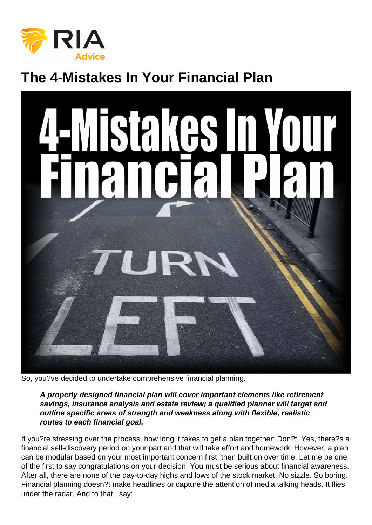# The 4-Mistakes In Your Financial Plan

So, you?ve decided to undertake comprehensive financial planning.

A properly designed financial plan will cover important elements like retirement savings, insurance analysis and estate review; a qualified planner will target and outline specific areas of strength and weakness along with flexible, realistic routes to each financial goal.

If you?re stressing over the process, how long it takes to get a plan together: Don?t. Yes, there?s a financial self-discovery period on your part and that will take effort and homework. However, a plan can be modular based on your most important concern first, then built on over time. Let me be one of the first to say congratulations on your decision! You must be serious about financial awareness. After all, there are none of the day-to-day highs and lows of the stock market. No sizzle. So boring. Financial planning doesn?t make headlines or capture the attention of media talking heads. It flies under the radar. And to that I say: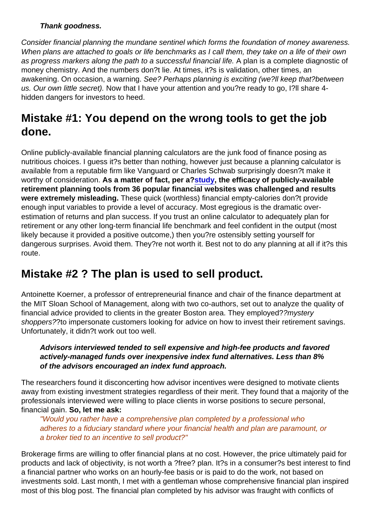Thank goodness.

Consider financial planning the mundane sentinel which forms the foundation of money awareness. When plans are attached to goals or life benchmarks as I call them, they take on a life of their own as progress markers along the path to a successful financial life. A plan is a complete diagnostic of money chemistry. And the numbers don?t lie. At times, it?s is validation, other times, an awakening. On occasion, a warning. See? Perhaps planning is exciting (we?ll keep that?between us. Our own little secret). Now that I have your attention and you?re ready to go, I?ll share 4 hidden dangers for investors to heed.

## Mistake #1: You depend on the wrong tools to get the job done .

Online publicly-available financial planning calculators are the junk food of finance posing as nutritious choices. I quess it?s better than nothing, however just because a planning calculator is available from a reputable firm like Vanguard or Charles Schwab surprisingly doesn?t make it worthy of consideration. As a matter of fact, per a? [study](https://papers.ssrn.com/sol3/papers.cfm?abstract_id=2732927), the efficacy of publicly-available retirement planning tools from 36 popular financial websites was challenged and results were extremely misleading. These quick (worthless) financial empty-calories don?t provide enough input variables to provide a level of accuracy. Most egregious is the dramatic overestimation of returns and plan success. If you trust an online calculator to adequately plan for retirement or any other long-term financial life benchmark and feel confident in the output (most likely because it provided a positive outcome,) then you?re ostensibly setting yourself for dangerous surprises. Avoid them. They?re not worth it. Best not to do any planning at all if it?s this route.

### Mistake #2 ? The plan is used to sell product.

Antoinette Koerner, a professor of entrepreneurial finance and chair of the finance department at the MIT Sloan School of Management, along with two co-authors, set out to analyze the quality of financial advice provided to clients in the greater Boston area. They employed??mystery shoppers??to impersonate customers looking for advice on how to invest their retirement savings. Unfortunately, it didn?t work out too well.

Advisors interviewed tended to sell expensive and high-fee products and favored actively-managed funds over inexpensive index fund alternatives. Less than 8% of the advisors encouraged an index fund approach.

The researchers found it disconcerting how advisor incentives were designed to motivate clients away from existing investment strategies regardless of their merit. They found that a majority of the professionals interviewed were willing to place clients in worse positions to secure personal, financial gain. So, let me ask:

"Would you rather have a comprehensive plan completed by a professional who adheres to a fiduciary standard where your financial health and plan are paramount, or a broker tied to an incentive to sell product?"

Brokerage firms are willing to offer financial plans at no cost. However, the price ultimately paid for products and lack of objectivity, is not worth a ?free? plan. It?s in a consumer?s best interest to find a financial partner who works on an hourly-fee basis or is paid to do the work, not based on investments sold. Last month, I met with a gentleman whose comprehensive financial plan inspired most of this blog post. The financial plan completed by his advisor was fraught with conflicts of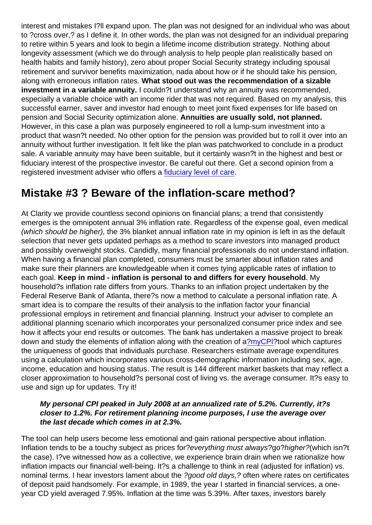interest and mistakes I?ll expand upon. The plan was not designed for an individual who was about to ?cross over,? as I define it. In other words, the plan was not designed for an individual preparing to retire within 5 years and look to begin a lifetime income distribution strategy. Nothing about longevity assessment (which we do through analysis to help people plan realistically based on health habits and family history), zero about proper Social Security strategy including spousal retirement and survivor benefits maximization, nada about how or if he should take his pension, along with erroneous inflation rates. What stood out was the recommendation of a sizable investment in a variable annuity. I couldn?t understand why an annuity was recommended, especially a variable choice with an income rider that was not required. Based on my analysis, this successful earner, saver and investor had enough to meet joint fixed expenses for life based on pension and Social Security optimization alone. Annuities are usually sold, not planned. However, in this case a plan was purposely engineered to roll a lump-sum investment into a product that wasn?t needed. No other option for the pension was provided but to roll it over into an annuity without further investigation. It felt like the plan was patchworked to conclude in a product sale. A variable annuity may have been suitable, but it certainly wasn?t in the highest and best or fiduciary interest of the prospective investor. Be careful out there. Get a second opinion from a registered investment adviser who offers a [fiduciary level of care](https://money.usnews.com/investing/investing-101/articles/what-is-a-fiduciary-financial-advisor-a-guide-to-the-fiduciary-duty).

#### Mistake #3 ? Beware of the inflation-scare method?

At Clarity we provide countless second opinions on financial plans; a trend that consistently emerges is the omnipotent annual 3% inflation rate. Regardless of the expense goal, even medical (which should be higher), the 3% blanket annual inflation rate in my opinion is left in as the default selection that never gets updated perhaps as a method to scare investors into managed product and possibly overweight stocks. Candidly, many financial professionals do not understand inflation. When having a financial plan completed, consumers must be smarter about inflation rates and make sure their planners are knowledgeable when it comes tying applicable rates of inflation to each goal. Keep in mind - inflation is personal to and differs for every household . My household?s inflation rate differs from yours. Thanks to an inflation project undertaken by the Federal Reserve Bank of Atlanta, there?s now a method to calculate a personal inflation rate. A smart idea is to compare the results of their analysis to the inflation factor your financial professional employs in retirement and financial planning. Instruct your adviser to complete an additional planning scenario which incorporates your personalized consumer price index and see how it affects your end results or outcomes. The bank has undertaken a massive project to break down and study the elements of inflation along with the creation of a[?myCPI?](https://www.frbatlanta.org/research/inflationproject/mycpi.aspx)tool which captures the uniqueness of goods that individuals purchase. Researchers estimate average expenditures using a calculation which incorporates various cross-demographic information including sex, age, income, education and housing status. The result is 144 different market baskets that may reflect a closer approximation to household?s personal cost of living vs. the average consumer. It?s easy to use and sign up for updates. Try it!

My personal CPI peaked in July 2008 at an annualized rate of 5.2%. Currently, it?s closer to 1.2%. For retirement planning income purposes, I use the average over the last decade which comes in at 2.3%.

The tool can help users become less emotional and gain rational perspective about inflation. Inflation tends to be a touchy subject as prices for?everything must always?go?higher?(which isn?t the case). I?ve witnessed how as a collective, we experience brain drain when we rationalize how inflation impacts our financial well-being. It?s a challenge to think in real (adjusted for inflation) vs. nominal terms. I hear investors lament about the ?good old days,? often where rates on certificates of deposit paid handsomely. For example, in 1989, the year I started in financial services, a oneyear CD yield averaged 7.95%. Inflation at the time was 5.39%. After taxes, investors barely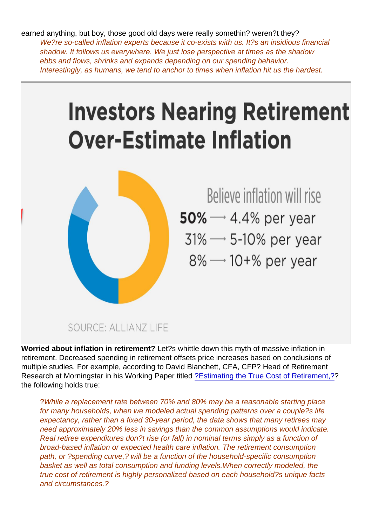earned anything, but boy, those good old days were really somethin? weren?t they? We?re so-called inflation experts because it co-exists with us. It?s an insidious financial shadow. It follows us everywhere. We just lose perspective at times as the shadow ebbs and flows, shrinks and expands depending on our spending behavior. Interestingly, as humans, we tend to anchor to times when inflation hit us the hardest.

Worried about inflation in retirement? Let?s whittle down this myth of massive inflation in retirement. Decreased spending in retirement offsets price increases based on conclusions of multiple studies. For example, according to David Blanchett, CFA, CFP? Head of Retirement Research at Morningstar in his Working Paper titled [?Estimating the True Cost of Retirement,??](https://corporate.morningstar.com/ib/documents/MethodologyDocuments/ResearchPapers/Blanchett_True-Cost-of-Retirement.pdf) the following holds true:

?While a replacement rate between 70% and 80% may be a reasonable starting place for many households, when we modeled actual spending patterns over a couple?s life expectancy, rather than a fixed 30-year period, the data shows that many retirees may need approximately 20% less in savings than the common assumptions would indicate. Real retiree expenditures don?t rise (or fall) in nominal terms simply as a function of broad-based inflation or expected health care inflation. The retirement consumption path, or ?spending curve,? will be a function of the household-specific consumption basket as well as total consumption and funding levels.When correctly modeled, the true cost of retirement is highly personalized based on each household?s unique facts and circumstances.?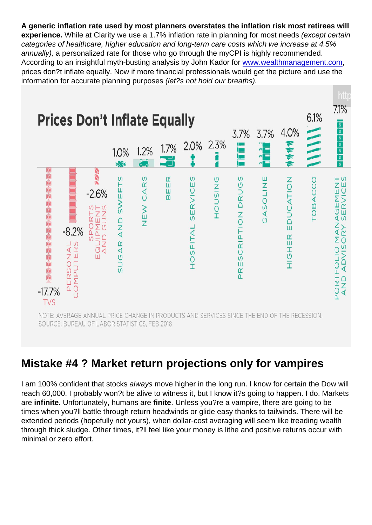A generic inflation rate used by most planners overstates the inflation risk most retirees will experience. While at Clarity we use a 1.7% inflation rate in planning for most needs (except certain categories of healthcare, higher education and long-term care costs which we increase at 4.5% annually), a personalized rate for those who go through the myCPI is highly recommended. According to an insightful myth-busting analysis by John Kador for [www.wealthmanagement.com](http://www.wealthmanagement.com), prices don?t inflate equally. Now if more financial professionals would get the picture and use the information for accurate planning purposes (let?s not hold our breaths).

### Mistake #4 ? Market return projections only for vampires

I am 100% confident that stocks always move higher in the long run. I know for certain the Dow will reach 60,000. I probably won?t be alive to witness it, but I know it?s going to happen. I do. Markets are infinite. Unfortunately, humans are finite . Unless you?re a vampire, there are going to be times when you?ll battle through return headwinds or glide easy thanks to tailwinds. There will be extended periods (hopefully not yours), when dollar-cost averaging will seem like treading wealth through thick sludge. Other times, it?ll feel like your money is lithe and positive returns occur with minimal or zero effort.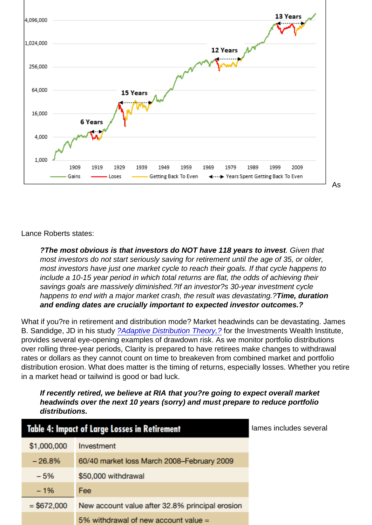Lance Roberts states:

?The most obvious is that investors do NOT have 118 years to invest . Given that most investors do not start seriously saving for retirement until the age of 35, or older, most investors have just one market cycle to reach their goals. If that cycle happens to include a 10-15 year period in which total returns are flat, the odds of achieving their savings goals are massively diminished.?If an investor?s 30-year investment cycle happens to end with a major market crash, the result was devastating.?Time, duration and ending dates are crucially important to expected investor outcomes.?

What if you?re in retirement and distribution mode? Market headwinds can be devastating. James B. Sandidge, JD in his study [?Adaptive Distribution Theory,?](https://papers.ssrn.com/sol3/papers.cfm?abstract_id=2879999) for the Investments Wealth Institute, provides several eye-opening examples of drawdown risk. As we monitor portfolio distributions over rolling three-year periods, Clarity is prepared to have retirees make changes to withdrawal rates or dollars as they cannot count on time to breakeven from combined market and portfolio distribution erosion. What does matter is the timing of returns, especially losses. Whether you retire in a market head or tailwind is good or bad luck.

If recently retired, we believe at RIA that you?re going to expect overall market headwinds over the next 10 years (sorry) and must prepare to reduce portfolio distributions.

[I?m sorry. Again, it?s just a drawing of the straws. Nothing personal. J](https://realinvestmentadvice.com/wp-content/uploads/2018/06/Rosso-3-060618.png)ames includes several effective charts and tables in his work. Table 4 hits home for me.